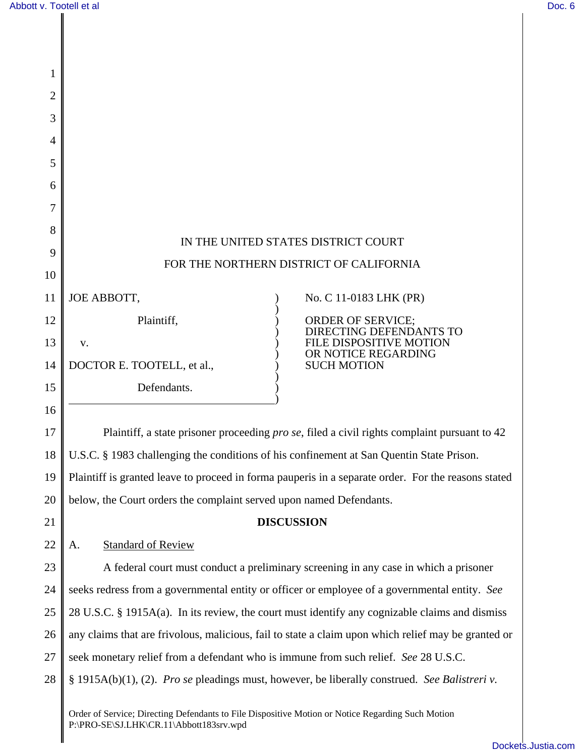| 1  |                                                                                                      |
|----|------------------------------------------------------------------------------------------------------|
| 2  |                                                                                                      |
| 3  |                                                                                                      |
| 4  |                                                                                                      |
| 5  |                                                                                                      |
| 6  |                                                                                                      |
| 7  |                                                                                                      |
| 8  | IN THE UNITED STATES DISTRICT COURT                                                                  |
| 9  | FOR THE NORTHERN DISTRICT OF CALIFORNIA                                                              |
| 10 |                                                                                                      |
| 11 | JOE ABBOTT,<br>No. C 11-0183 LHK (PR)                                                                |
| 12 | Plaintiff,<br><b>ORDER OF SERVICE;</b><br><b>DIRECTING DEFENDANTS TO</b>                             |
| 13 | LE DISPOSITIVE MOTION<br>V.<br>OR NOTICE REGARDING                                                   |
| 14 | DOCTOR E. TOOTELL, et al.,<br><b>SUCH MOTION</b>                                                     |
| 15 | Defendants.                                                                                          |
| 16 |                                                                                                      |
| 17 | Plaintiff, a state prisoner proceeding <i>pro se</i> , filed a civil rights complaint pursuant to 42 |
| 18 | U.S.C. § 1983 challenging the conditions of his confinement at San Quentin State Prison.             |
| 19 | Plaintiff is granted leave to proceed in forma pauperis in a separate order. For the reasons stated  |
| 20 | below, the Court orders the complaint served upon named Defendants.                                  |
| 21 | <b>DISCUSSION</b>                                                                                    |
| 22 | <b>Standard of Review</b><br>A.                                                                      |
| 23 | A federal court must conduct a preliminary screening in any case in which a prisoner                 |
| 24 | seeks redress from a governmental entity or officer or employee of a governmental entity. See        |
| 25 | 28 U.S.C. § 1915A(a). In its review, the court must identify any cognizable claims and dismiss       |
| 26 | any claims that are frivolous, malicious, fail to state a claim upon which relief may be granted or  |
| 27 | seek monetary relief from a defendant who is immune from such relief. See 28 U.S.C.                  |
| 28 | § 1915A(b)(1), (2). Pro se pleadings must, however, be liberally construed. See Balistreri v.        |
|    | Order of Service; Directing Defendants to File Dispositive Motion or Notice Regarding Such Motion    |

P:\PRO-SE\SJ.LHK\CR.11\Abbott183srv.wpd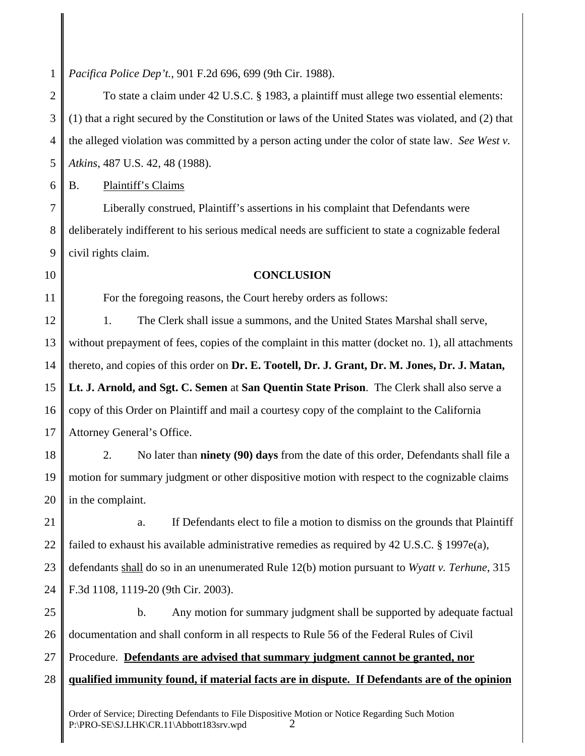1 *Pacifica Police Dep't.*, 901 F.2d 696, 699 (9th Cir. 1988).

2 3 4 5 6 7 8 9 10 11 12 13 14 15 16 17 18 19 20 21 22 23 24 25 26 27 28 To state a claim under 42 U.S.C. § 1983, a plaintiff must allege two essential elements: (1) that a right secured by the Constitution or laws of the United States was violated, and (2) that the alleged violation was committed by a person acting under the color of state law. *See West v. Atkins*, 487 U.S. 42, 48 (1988). B. Plaintiff's Claims Liberally construed, Plaintiff's assertions in his complaint that Defendants were deliberately indifferent to his serious medical needs are sufficient to state a cognizable federal civil rights claim. **CONCLUSION** For the foregoing reasons, the Court hereby orders as follows: 1. The Clerk shall issue a summons, and the United States Marshal shall serve, without prepayment of fees, copies of the complaint in this matter (docket no. 1), all attachments thereto, and copies of this order on **Dr. E. Tootell, Dr. J. Grant, Dr. M. Jones, Dr. J. Matan, Lt. J. Arnold, and Sgt. C. Semen** at **San Quentin State Prison**. The Clerk shall also serve a copy of this Order on Plaintiff and mail a courtesy copy of the complaint to the California Attorney General's Office. 2. No later than **ninety (90) days** from the date of this order, Defendants shall file a motion for summary judgment or other dispositive motion with respect to the cognizable claims in the complaint. a. If Defendants elect to file a motion to dismiss on the grounds that Plaintiff failed to exhaust his available administrative remedies as required by 42 U.S.C. § 1997e(a), defendants shall do so in an unenumerated Rule 12(b) motion pursuant to *Wyatt v. Terhune*, 315 F.3d 1108, 1119-20 (9th Cir. 2003). b. Any motion for summary judgment shall be supported by adequate factual documentation and shall conform in all respects to Rule 56 of the Federal Rules of Civil Procedure. **Defendants are advised that summary judgment cannot be granted, nor qualified immunity found, if material facts are in dispute. If Defendants are of the opinion**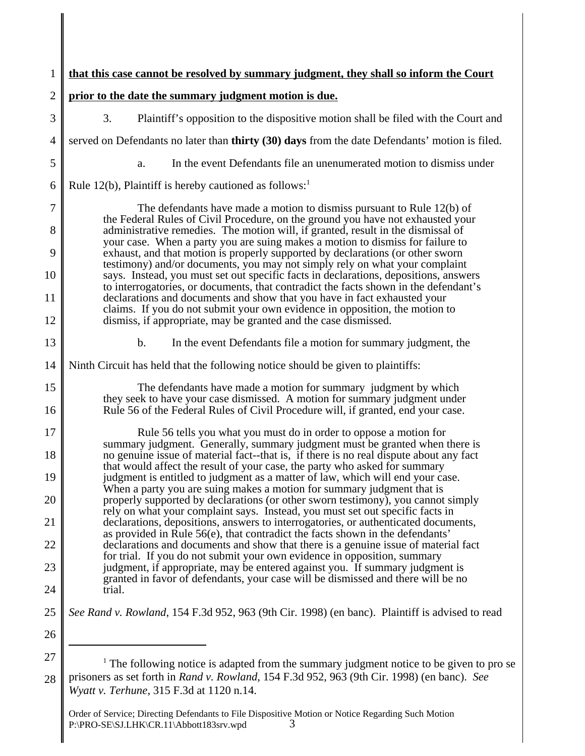| 1              | that this case cannot be resolved by summary judgment, they shall so inform the Court                                                                                                                                                                 |
|----------------|-------------------------------------------------------------------------------------------------------------------------------------------------------------------------------------------------------------------------------------------------------|
| $\overline{2}$ | prior to the date the summary judgment motion is due.                                                                                                                                                                                                 |
| 3              | 3.<br>Plaintiff's opposition to the dispositive motion shall be filed with the Court and                                                                                                                                                              |
| $\overline{4}$ | served on Defendants no later than <b>thirty</b> (30) days from the date Defendants' motion is filed.                                                                                                                                                 |
| 5              | In the event Defendants file an unenumerated motion to dismiss under<br>a.                                                                                                                                                                            |
| 6              | Rule 12(b), Plaintiff is hereby cautioned as follows:                                                                                                                                                                                                 |
| $\overline{7}$ | The defendants have made a motion to dismiss pursuant to Rule $12(b)$ of<br>the Federal Rules of Civil Procedure, on the ground you have not exhausted your                                                                                           |
| 8              | administrative remedies. The motion will, if granted, result in the dismissal of<br>your case. When a party you are suing makes a motion to dismiss for failure to                                                                                    |
| 9<br>10        | exhaust, and that motion is properly supported by declarations (or other sworn<br>testimony) and/or documents, you may not simply rely on what your complaint<br>says. Instead, you must set out specific facts in declarations, depositions, answers |
| 11             | to interrogatories, or documents, that contradict the facts shown in the defendant's<br>declarations and documents and show that you have in fact exhausted your                                                                                      |
| 12             | claims. If you do not submit your own evidence in opposition, the motion to<br>dismiss, if appropriate, may be granted and the case dismissed.                                                                                                        |
| 13             | $b$ .<br>In the event Defendants file a motion for summary judgment, the                                                                                                                                                                              |
| 14             | Ninth Circuit has held that the following notice should be given to plaintiffs:                                                                                                                                                                       |
| 15<br>16       | The defendants have made a motion for summary judgment by which<br>they seek to have your case dismissed. A motion for summary judgment under<br>Rule 56 of the Federal Rules of Civil Procedure will, if granted, end your case.                     |
| 17             |                                                                                                                                                                                                                                                       |
| 18             | Rule 56 tells you what you must do in order to oppose a motion for<br>summary judgment. Generally, summary judgment must be granted when there is<br>no genuine issue of material fact-that is, if there is no real dispute about any fact            |
| 19             | that would affect the result of your case, the party who asked for summary<br>judgment is entitled to judgment as a matter of law, which will end your case.                                                                                          |
| 20             | When a party you are suing makes a motion for summary judgment that is<br>properly supported by declarations (or other sworn testimony), you cannot simply<br>rely on what your complaint says. Instead, you must set out specific facts in           |
| 21             | declarations, depositions, answers to interrogatories, or authenticated documents,<br>as provided in Rule $56(e)$ , that contradict the facts shown in the defendants'                                                                                |
| 22             | declarations and documents and show that there is a genuine issue of material fact<br>for trial. If you do not submit your own evidence in opposition, summary                                                                                        |
| 23             | judgment, if appropriate, may be entered against you. If summary judgment is<br>granted in favor of defendants, your case will be dismissed and there will be no                                                                                      |
| 24             | trial.                                                                                                                                                                                                                                                |
| 25             | See Rand v. Rowland, 154 F.3d 952, 963 (9th Cir. 1998) (en banc). Plaintiff is advised to read                                                                                                                                                        |
| 26             |                                                                                                                                                                                                                                                       |
| 27<br>28       | <sup>1</sup> The following notice is adapted from the summary judgment notice to be given to pro se<br>prisoners as set forth in Rand v. Rowland, 154 F.3d 952, 963 (9th Cir. 1998) (en banc). See                                                    |

*Wyatt v. Terhune*, 315 F.3d at 1120 n.14.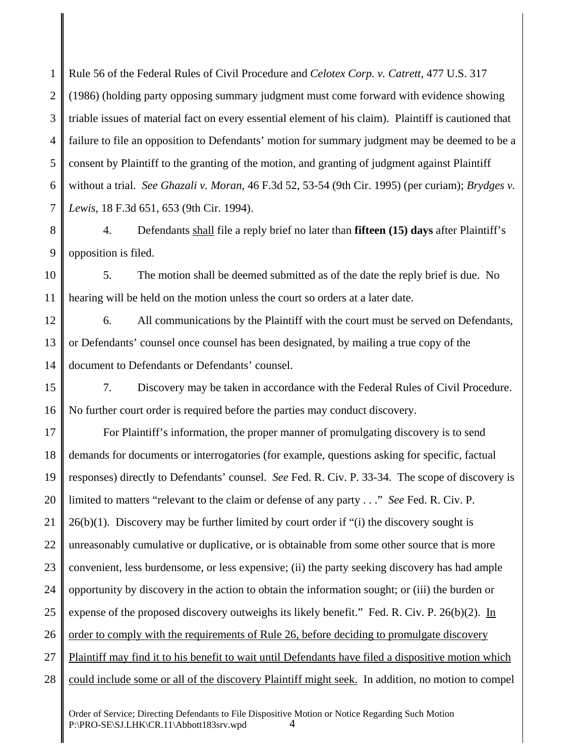1 2 3 4 5 6 7 Rule 56 of the Federal Rules of Civil Procedure and *Celotex Corp. v. Catrett*, 477 U.S. 317 (1986) (holding party opposing summary judgment must come forward with evidence showing triable issues of material fact on every essential element of his claim). Plaintiff is cautioned that failure to file an opposition to Defendants' motion for summary judgment may be deemed to be a consent by Plaintiff to the granting of the motion, and granting of judgment against Plaintiff without a trial. *See Ghazali v. Moran*, 46 F.3d 52, 53-54 (9th Cir. 1995) (per curiam); *Brydges v. Lewis*, 18 F.3d 651, 653 (9th Cir. 1994).

8 9 4. Defendants shall file a reply brief no later than **fifteen (15) days** after Plaintiff's opposition is filed.

10 11 5. The motion shall be deemed submitted as of the date the reply brief is due. No hearing will be held on the motion unless the court so orders at a later date.

12 13 14 6. All communications by the Plaintiff with the court must be served on Defendants, or Defendants' counsel once counsel has been designated, by mailing a true copy of the document to Defendants or Defendants' counsel.

15 16 7. Discovery may be taken in accordance with the Federal Rules of Civil Procedure. No further court order is required before the parties may conduct discovery.

17 18 19 20 21 22 23 24 25 26 27 28 For Plaintiff's information, the proper manner of promulgating discovery is to send demands for documents or interrogatories (for example, questions asking for specific, factual responses) directly to Defendants' counsel. *See* Fed. R. Civ. P. 33-34. The scope of discovery is limited to matters "relevant to the claim or defense of any party . . ." *See* Fed. R. Civ. P. 26(b)(1). Discovery may be further limited by court order if "(i) the discovery sought is unreasonably cumulative or duplicative, or is obtainable from some other source that is more convenient, less burdensome, or less expensive; (ii) the party seeking discovery has had ample opportunity by discovery in the action to obtain the information sought; or (iii) the burden or expense of the proposed discovery outweighs its likely benefit." Fed. R. Civ. P. 26(b)(2). In order to comply with the requirements of Rule 26, before deciding to promulgate discovery Plaintiff may find it to his benefit to wait until Defendants have filed a dispositive motion which could include some or all of the discovery Plaintiff might seek. In addition, no motion to compel

Order of Service; Directing Defendants to File Dispositive Motion or Notice Regarding Such Motion P:\PRO-SE\SJ.LHK\CR.11\Abbott183srv.wpd